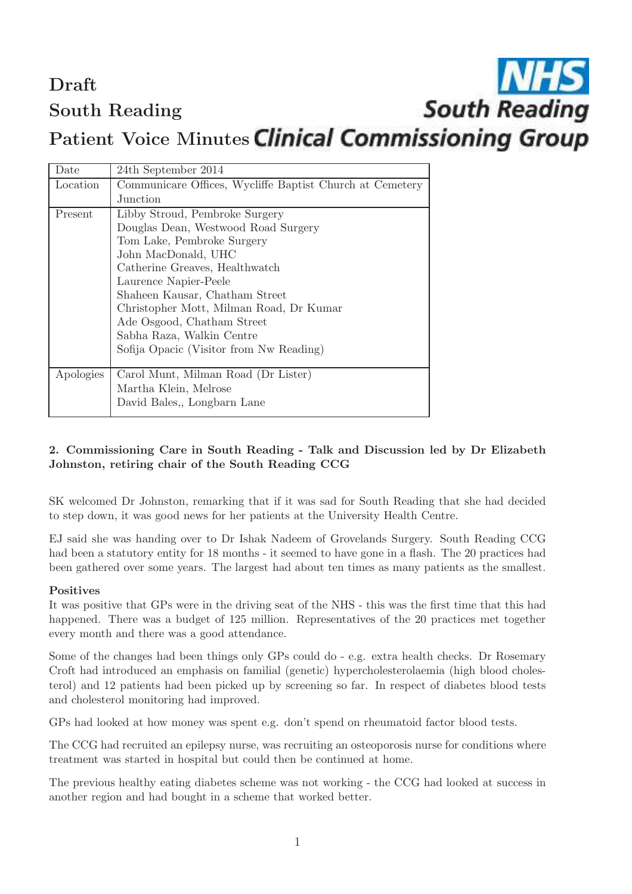Draft South Reading

# **South Reading**

# Patient Voice Minutes Clinical Commissioning Group

| Date      | 24th September 2014                                      |
|-----------|----------------------------------------------------------|
| Location  | Communicare Offices, Wycliffe Baptist Church at Cemetery |
|           | Junction                                                 |
| Present   | Libby Stroud, Pembroke Surgery                           |
|           | Douglas Dean, Westwood Road Surgery                      |
|           | Tom Lake, Pembroke Surgery                               |
|           | John MacDonald, UHC                                      |
|           | Catherine Greaves, Healthwatch                           |
|           | Laurence Napier-Peele                                    |
|           | Shaheen Kausar, Chatham Street                           |
|           | Christopher Mott, Milman Road, Dr Kumar                  |
|           | Ade Osgood, Chatham Street                               |
|           | Sabha Raza, Walkin Centre                                |
|           | Sofija Opacic (Visitor from Nw Reading)                  |
|           |                                                          |
| Apologies | Carol Munt, Milman Road (Dr Lister)                      |
|           | Martha Klein, Melrose                                    |
|           | David Bales,, Longbarn Lane                              |

## 2. Commissioning Care in South Reading - Talk and Discussion led by Dr Elizabeth Johnston, retiring chair of the South Reading CCG

SK welcomed Dr Johnston, remarking that if it was sad for South Reading that she had decided to step down, it was good news for her patients at the University Health Centre.

EJ said she was handing over to Dr Ishak Nadeem of Grovelands Surgery. South Reading CCG had been a statutory entity for 18 months - it seemed to have gone in a flash. The 20 practices had been gathered over some years. The largest had about ten times as many patients as the smallest.

#### Positives

It was positive that GPs were in the driving seat of the NHS - this was the first time that this had happened. There was a budget of 125 million. Representatives of the 20 practices met together every month and there was a good attendance.

Some of the changes had been things only GPs could do - e.g. extra health checks. Dr Rosemary Croft had introduced an emphasis on familial (genetic) hypercholesterolaemia (high blood cholesterol) and 12 patients had been picked up by screening so far. In respect of diabetes blood tests and cholesterol monitoring had improved.

GPs had looked at how money was spent e.g. don't spend on rheumatoid factor blood tests.

The CCG had recruited an epilepsy nurse, was recruiting an osteoporosis nurse for conditions where treatment was started in hospital but could then be continued at home.

The previous healthy eating diabetes scheme was not working - the CCG had looked at success in another region and had bought in a scheme that worked better.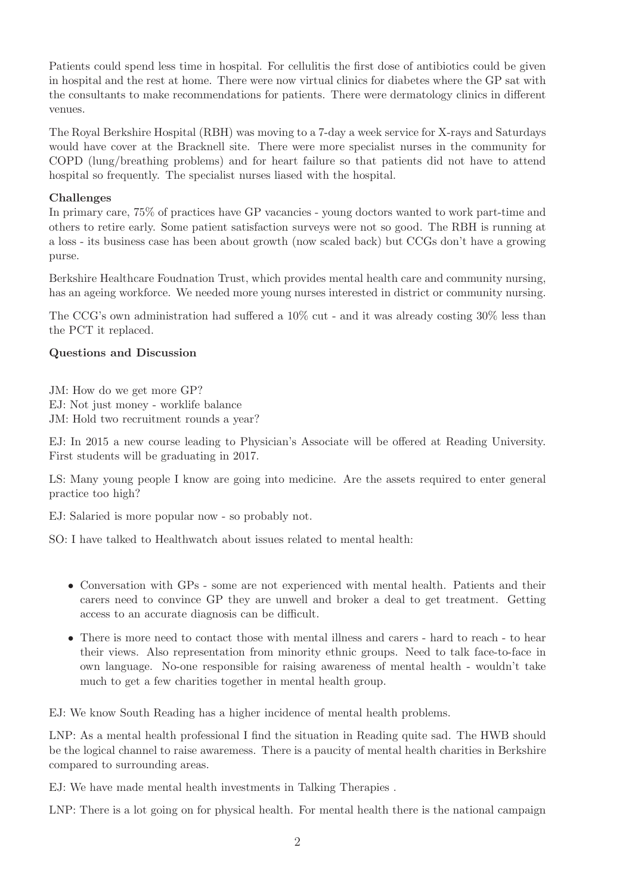Patients could spend less time in hospital. For cellulitis the first dose of antibiotics could be given in hospital and the rest at home. There were now virtual clinics for diabetes where the GP sat with the consultants to make recommendations for patients. There were dermatology clinics in different venues.

The Royal Berkshire Hospital (RBH) was moving to a 7-day a week service for X-rays and Saturdays would have cover at the Bracknell site. There were more specialist nurses in the community for COPD (lung/breathing problems) and for heart failure so that patients did not have to attend hospital so frequently. The specialist nurses liased with the hospital.

#### Challenges

In primary care, 75% of practices have GP vacancies - young doctors wanted to work part-time and others to retire early. Some patient satisfaction surveys were not so good. The RBH is running at a loss - its business case has been about growth (now scaled back) but CCGs don't have a growing purse.

Berkshire Healthcare Foudnation Trust, which provides mental health care and community nursing, has an ageing workforce. We needed more young nurses interested in district or community nursing.

The CCG's own administration had suffered a 10% cut - and it was already costing 30% less than the PCT it replaced.

## Questions and Discussion

JM: How do we get more GP? EJ: Not just money - worklife balance JM: Hold two recruitment rounds a year?

EJ: In 2015 a new course leading to Physician's Associate will be offered at Reading University. First students will be graduating in 2017.

LS: Many young people I know are going into medicine. Are the assets required to enter general practice too high?

EJ: Salaried is more popular now - so probably not.

SO: I have talked to Healthwatch about issues related to mental health:

- Conversation with GPs some are not experienced with mental health. Patients and their carers need to convince GP they are unwell and broker a deal to get treatment. Getting access to an accurate diagnosis can be difficult.
- There is more need to contact those with mental illness and carers hard to reach to hear their views. Also representation from minority ethnic groups. Need to talk face-to-face in own language. No-one responsible for raising awareness of mental health - wouldn't take much to get a few charities together in mental health group.

EJ: We know South Reading has a higher incidence of mental health problems.

LNP: As a mental health professional I find the situation in Reading quite sad. The HWB should be the logical channel to raise awaremess. There is a paucity of mental health charities in Berkshire compared to surrounding areas.

EJ: We have made mental health investments in Talking Therapies .

LNP: There is a lot going on for physical health. For mental health there is the national campaign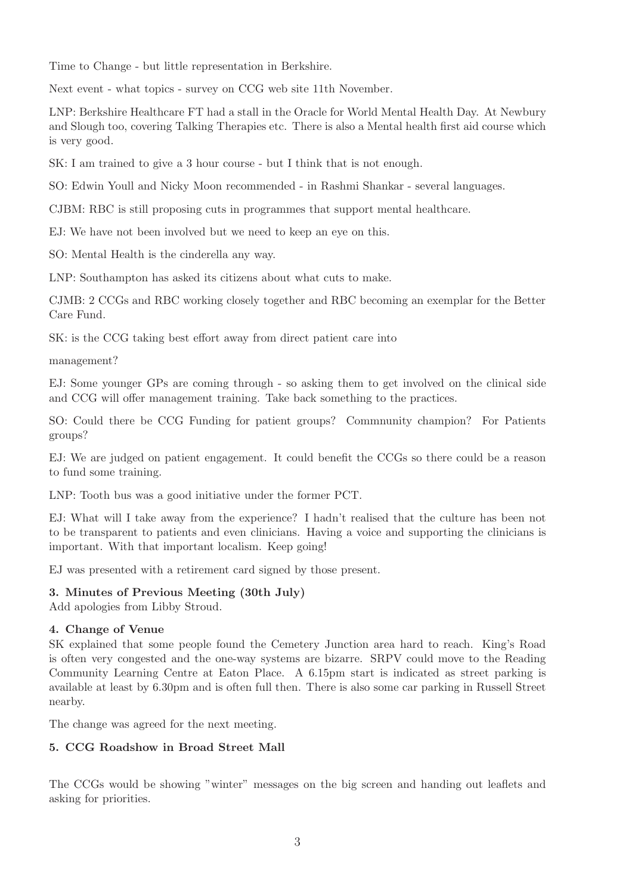Time to Change - but little representation in Berkshire.

Next event - what topics - survey on CCG web site 11th November.

LNP: Berkshire Healthcare FT had a stall in the Oracle for World Mental Health Day. At Newbury and Slough too, covering Talking Therapies etc. There is also a Mental health first aid course which is very good.

SK: I am trained to give a 3 hour course - but I think that is not enough.

SO: Edwin Youll and Nicky Moon recommended - in Rashmi Shankar - several languages.

CJBM: RBC is still proposing cuts in programmes that support mental healthcare.

EJ: We have not been involved but we need to keep an eye on this.

SO: Mental Health is the cinderella any way.

LNP: Southampton has asked its citizens about what cuts to make.

CJMB: 2 CCGs and RBC working closely together and RBC becoming an exemplar for the Better Care Fund.

SK: is the CCG taking best effort away from direct patient care into

management?

EJ: Some younger GPs are coming through - so asking them to get involved on the clinical side and CCG will offer management training. Take back something to the practices.

SO: Could there be CCG Funding for patient groups? Commnunity champion? For Patients groups?

EJ: We are judged on patient engagement. It could benefit the CCGs so there could be a reason to fund some training.

LNP: Tooth bus was a good initiative under the former PCT.

EJ: What will I take away from the experience? I hadn't realised that the culture has been not to be transparent to patients and even clinicians. Having a voice and supporting the clinicians is important. With that important localism. Keep going!

EJ was presented with a retirement card signed by those present.

#### 3. Minutes of Previous Meeting (30th July)

Add apologies from Libby Stroud.

#### 4. Change of Venue

SK explained that some people found the Cemetery Junction area hard to reach. King's Road is often very congested and the one-way systems are bizarre. SRPV could move to the Reading Community Learning Centre at Eaton Place. A 6.15pm start is indicated as street parking is available at least by 6.30pm and is often full then. There is also some car parking in Russell Street nearby.

The change was agreed for the next meeting.

#### 5. CCG Roadshow in Broad Street Mall

The CCGs would be showing "winter" messages on the big screen and handing out leaflets and asking for priorities.